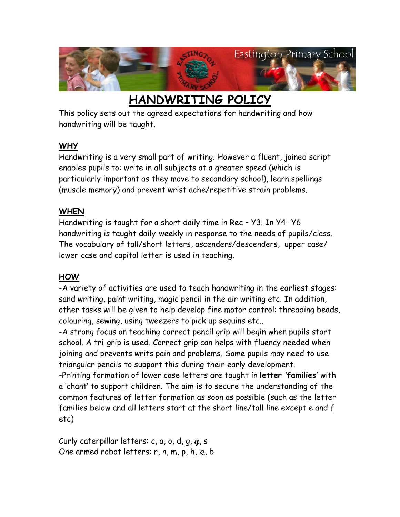

# **HANDWRITING POLICY**

This policy sets out the agreed expectations for handwriting and how handwriting will be taught.

#### **WHY**

Handwriting is a very small part of writing. However a fluent, joined script enables pupils to: write in all subjects at a greater speed (which is particularly important as they move to secondary school), learn spellings (muscle memory) and prevent wrist ache/repetitive strain problems.

#### **WHEN**

Handwriting is taught for a short daily time in Rec – Y3. In Y4- Y6 handwriting is taught daily-weekly in response to the needs of pupils/class. The vocabulary of tall/short letters, ascenders/descenders, upper case/ lower case and capital letter is used in teaching.

### **HOW**

-A variety of activities are used to teach handwriting in the earliest stages: sand writing, paint writing, magic pencil in the air writing etc. In addition, other tasks will be given to help develop fine motor control: threading beads, colouring, sewing, using tweezers to pick up sequins etc..

-A strong focus on teaching correct pencil grip will begin when pupils start school. A tri-grip is used. Correct grip can helps with fluency needed when joining and prevents writs pain and problems. Some pupils may need to use triangular pencils to support this during their early development.

-Printing formation of lower case letters are taught in **letter 'families'** with a 'chant' to support children. The aim is to secure the understanding of the common features of letter formation as soon as possible (such as the letter families below and all letters start at the short line/tall line except e and f etc)

Curly caterpillar letters: c, a, o, d, g, **q**, s One armed robot letters: r, n, m, p, h, k, b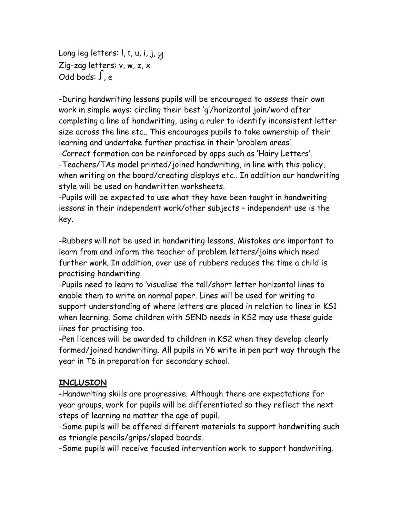Long leg letters: I, t, u, i, j, y Zig-zag letters: v, w, z, x Odd bods:  $\dot{J}$ , e

-During handwriting lessons pupils will be encouraged to assess their own work in simple ways: circling their best 'g'/horizontal join/word after completing a line of handwriting, using a ruler to identify inconsistent letter size across the line etc.. This encourages pupils to take ownership of their learning and undertake further practise in their 'problem areas'.

-Correct formation can be reinforced by apps such as 'Hairy Letters'. -Teachers/TAs model printed/joined handwriting, in line with this policy, when writing on the board/creating displays etc.. In addition our handwriting style will be used on handwritten worksheets.

-Pupils will be expected to use what they have been taught in handwriting lessons in their independent work/other subjects – independent use is the key.

-Rubbers will not be used in handwriting lessons. Mistakes are important to learn from and inform the teacher of problem letters/joins which need further work. In addition, over use of rubbers reduces the time a child is practising handwriting.

-Pupils need to learn to 'visualise' the tall/short letter horizontal lines to enable them to write on normal paper. Lines will be used for writing to support understanding of where letters are placed in relation to lines in KS1 when learning. Some children with SEND needs in KS2 may use these guide lines for practising too.

-Pen licences will be awarded to children in KS2 when they develop clearly formed/joined handwriting. All pupils in Y6 write in pen part way through the year in T6 in preparation for secondary school.

#### **INCLUSION**

-Handwriting skills are progressive. Although there are expectations for year groups, work for pupils will be differentiated so they reflect the next steps of learning no matter the age of pupil.

-Some pupils will be offered different materials to support handwriting such as triangle pencils/grips/sloped boards.

-Some pupils will receive focused intervention work to support handwriting.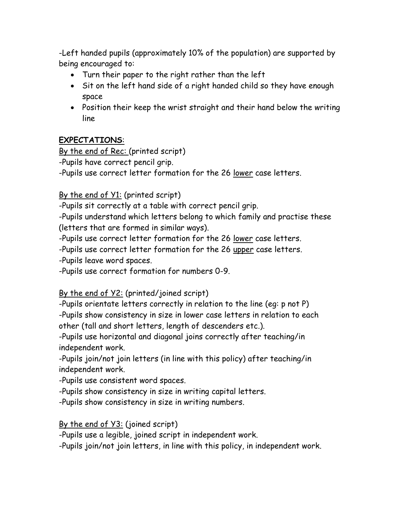-Left handed pupils (approximately 10% of the population) are supported by being encouraged to:

- Turn their paper to the right rather than the left
- Sit on the left hand side of a right handed child so they have enough space
- Position their keep the wrist straight and their hand below the writing line

### **EXPECTATIONS**:

By the end of Rec: (printed script)

-Pupils have correct pencil grip.

-Pupils use correct letter formation for the 26 lower case letters.

### By the end of Y1: (printed script)

-Pupils sit correctly at a table with correct pencil grip.

-Pupils understand which letters belong to which family and practise these (letters that are formed in similar ways).

-Pupils use correct letter formation for the 26 lower case letters.

-Pupils use correct letter formation for the 26 upper case letters.

-Pupils leave word spaces.

-Pupils use correct formation for numbers 0-9.

### By the end of Y2: (printed/joined script)

-Pupils orientate letters correctly in relation to the line (eg: p not P) -Pupils show consistency in size in lower case letters in relation to each other (tall and short letters, length of descenders etc.).

-Pupils use horizontal and diagonal joins correctly after teaching/in independent work.

-Pupils join/not join letters (in line with this policy) after teaching/in independent work.

-Pupils use consistent word spaces.

-Pupils show consistency in size in writing capital letters.

-Pupils show consistency in size in writing numbers.

By the end of Y3: (joined script)

-Pupils use a legible, joined script in independent work.

-Pupils join/not join letters, in line with this policy, in independent work.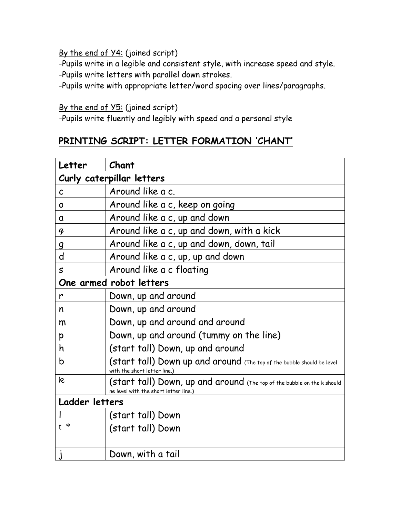By the end of Y4: (joined script)

-Pupils write in a legible and consistent style, with increase speed and style. -Pupils write letters with parallel down strokes.

-Pupils write with appropriate letter/word spacing over lines/paragraphs.

#### By the end of Y5: (joined script)

-Pupils write fluently and legibly with speed and a personal style

### **PRINTING SCRIPT: LETTER FORMATION 'CHANT'**

| Letter                    | Chant                                                                                                            |  |  |  |
|---------------------------|------------------------------------------------------------------------------------------------------------------|--|--|--|
| Curly caterpillar letters |                                                                                                                  |  |  |  |
| $\mathsf{C}$              | Around like a c.                                                                                                 |  |  |  |
| O                         | Around like a c, keep on going                                                                                   |  |  |  |
| a                         | Around like a c, up and down                                                                                     |  |  |  |
| $\boldsymbol{q}$          | Around like a c, up and down, with a kick                                                                        |  |  |  |
| 9                         | Around like a c, up and down, down, tail                                                                         |  |  |  |
| d                         | Around like a c, up, up and down                                                                                 |  |  |  |
| $\mathsf S$               | Around like a c floating                                                                                         |  |  |  |
|                           | One armed robot letters                                                                                          |  |  |  |
| r                         | Down, up and around                                                                                              |  |  |  |
| n                         | Down, up and around                                                                                              |  |  |  |
| m                         | Down, up and around and around                                                                                   |  |  |  |
| p                         | Down, up and around (tummy on the line)                                                                          |  |  |  |
| h                         | (start tall) Down, up and around                                                                                 |  |  |  |
| $\mathsf b$               | (start tall) Down up and around (The top of the bubble should be level<br>with the short letter line.)           |  |  |  |
| k                         | (start tall) Down, up and around (The top of the bubble on the k should<br>ne level with the short letter line.) |  |  |  |
| Ladder letters            |                                                                                                                  |  |  |  |
|                           | (start tall) Down                                                                                                |  |  |  |
| $t *$                     | (start tall) Down                                                                                                |  |  |  |
|                           |                                                                                                                  |  |  |  |
|                           | Down, with a tail                                                                                                |  |  |  |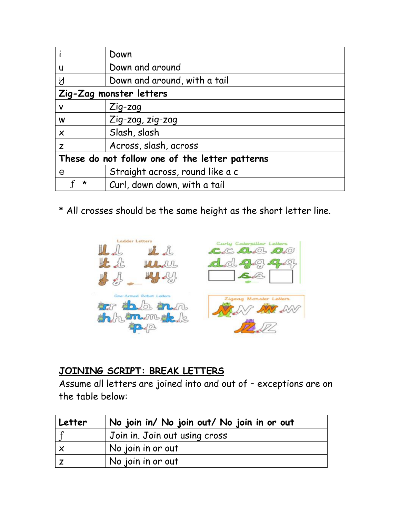|                                                | Down                            |  |  |
|------------------------------------------------|---------------------------------|--|--|
| U                                              | Down and around                 |  |  |
| Y                                              | Down and around, with a tail    |  |  |
| Zig-Zag monster letters                        |                                 |  |  |
| V                                              | $Z$ ig-zag                      |  |  |
| W                                              | Zig-zag, zig-zag                |  |  |
| $\times$                                       | Slash, slash                    |  |  |
| Z                                              | Across, slash, across           |  |  |
| These do not follow one of the letter patterns |                                 |  |  |
| e                                              | Straight across, round like a c |  |  |
| ∗                                              | Curl, down down, with a tail    |  |  |

\* All crosses should be the same height as the short letter line.



### **JOINING SCRIPT: BREAK LETTERS**

Assume all letters are joined into and out of – exceptions are on the table below:

| Letter | No join in/ No join out/ No join in or out |
|--------|--------------------------------------------|
|        | Join in. Join out using cross              |
| l x    | No join in or out                          |
|        | No join in or out                          |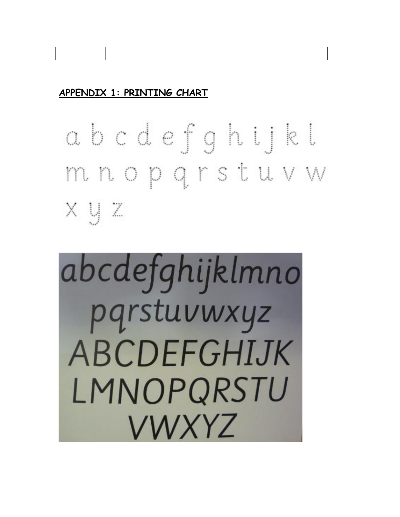## **APPENDIX 1: PRINTING CHART**

abcdefghijkl mnopgrstuvw  $x y z$ 

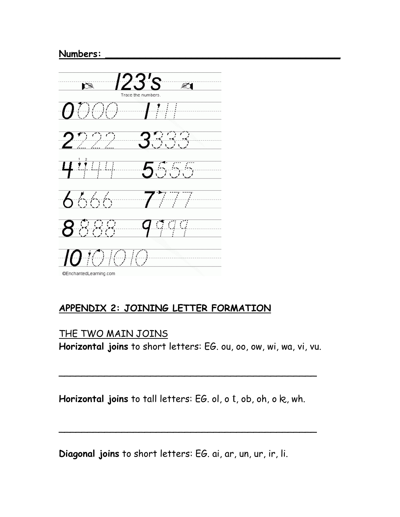#### **Numbers: \_\_\_\_\_\_\_\_\_\_\_\_\_\_\_\_\_\_\_\_\_\_\_\_\_\_\_\_\_\_\_\_\_\_\_\_\_\_\_\_\_**



### **APPENDIX 2: JOINING LETTER FORMATION**

### THE TWO MAIN JOINS

**Horizontal joins** to short letters: EG. ou, oo, ow, wi, wa, vi, vu.

\_\_\_\_\_\_\_\_\_\_\_\_\_\_\_\_\_\_\_\_\_\_\_\_\_\_\_\_\_\_\_\_\_\_\_\_\_\_\_\_\_\_\_\_\_

Horizontal joins to tall letters: EG. ol, o t, ob, oh, o k, wh.

\_\_\_\_\_\_\_\_\_\_\_\_\_\_\_\_\_\_\_\_\_\_\_\_\_\_\_\_\_\_\_\_\_\_\_\_\_\_\_\_\_\_\_\_\_

**Diagonal joins** to short letters: EG. ai, ar, un, ur, ir, li.